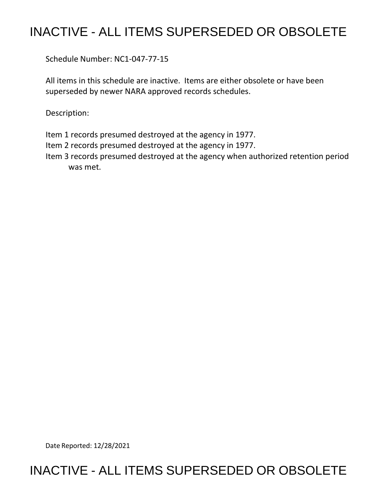## INACTIVE - ALL ITEMS SUPERSEDED OR OBSOLETE

Schedule Number: NC1-047-77-15

 All items in this schedule are inactive. Items are either obsolete or have been superseded by newer NARA approved records schedules.

Description:

Item 1 records presumed destroyed at the agency in 1977.

Item 2 records presumed destroyed at the agency in 1977.

 Item 3 records presumed destroyed at the agency when authorized retention period was met.

Date Reported: 12/28/2021

## INACTIVE - ALL ITEMS SUPERSEDED OR OBSOLETE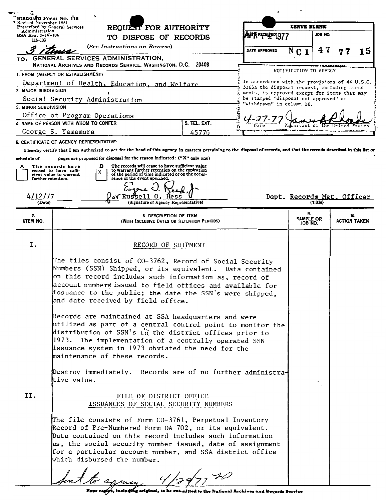| Standard Form No. 115                                                               |                                                                                                                                                                                                                                                                                                                                                                                                                                                                   |                     |                                              |                            |                  |                     |    |
|-------------------------------------------------------------------------------------|-------------------------------------------------------------------------------------------------------------------------------------------------------------------------------------------------------------------------------------------------------------------------------------------------------------------------------------------------------------------------------------------------------------------------------------------------------------------|---------------------|----------------------------------------------|----------------------------|------------------|---------------------|----|
| Revised November 1951<br>Prescribed by General Services                             | REQUEST FOR AUTHORITY                                                                                                                                                                                                                                                                                                                                                                                                                                             |                     | <b>LEAVE BLANK</b>                           |                            |                  |                     |    |
| Administration<br>GSA Reg. 3-IV-106                                                 | TO DISPOSE OF RECORDS                                                                                                                                                                                                                                                                                                                                                                                                                                             |                     | APRREFELED1977                               |                            | JOB NO.          |                     |    |
| 115-103                                                                             | (See Instructions on Reverse)                                                                                                                                                                                                                                                                                                                                                                                                                                     |                     |                                              |                            |                  |                     |    |
|                                                                                     |                                                                                                                                                                                                                                                                                                                                                                                                                                                                   |                     | DATE APPROVED                                | N<br>C <sub>1</sub>        | 47               |                     | 15 |
|                                                                                     | TO: GENERAL SERVICES ADMINISTRATION,                                                                                                                                                                                                                                                                                                                                                                                                                              |                     |                                              |                            |                  |                     |    |
|                                                                                     | NATIONAL ARCHIVES AND RECORDS SERVICE, WASHINGTON, D.C. 20408                                                                                                                                                                                                                                                                                                                                                                                                     |                     |                                              | NOTIFICATION TO AGENCY     | <b>MAIRITION</b> |                     |    |
| 1. FROM (AGENCY OR ESTABLISHMENT)<br>In accordance with the provisions of 44 U.S.C. |                                                                                                                                                                                                                                                                                                                                                                                                                                                                   |                     |                                              |                            |                  |                     |    |
| Department of Health, Education, and Welfare<br>2. MAJOR SUBDIVISION                |                                                                                                                                                                                                                                                                                                                                                                                                                                                                   |                     | 3303a the disposal request, including amend- |                            |                  |                     |    |
|                                                                                     | ments, is approved except for items that may<br>be stamped "disposal not approved" or<br>Social Security Administration                                                                                                                                                                                                                                                                                                                                           |                     |                                              |                            |                  |                     |    |
| 3. MINOR SUBDIVISION                                                                | "withdrawn" in column 10.                                                                                                                                                                                                                                                                                                                                                                                                                                         |                     |                                              |                            |                  |                     |    |
| Office of Program Operations                                                        |                                                                                                                                                                                                                                                                                                                                                                                                                                                                   |                     |                                              |                            |                  |                     |    |
|                                                                                     | 4. NAME OF PERSON WITH WHOM TO CONFER                                                                                                                                                                                                                                                                                                                                                                                                                             | <b>5. TEL. EXT.</b> |                                              |                            |                  |                     |    |
|                                                                                     | George S. Yamamura                                                                                                                                                                                                                                                                                                                                                                                                                                                | 45770               |                                              |                            |                  |                     |    |
|                                                                                     | <b>6. CERTIFICATE OF AGENCY REPRESENTATIVE:</b>                                                                                                                                                                                                                                                                                                                                                                                                                   |                     |                                              |                            |                  |                     |    |
|                                                                                     | I hereby certify that I am authorized to act for the head of this agency in matters pertaining to the disposal of records, and that the records described in this list or                                                                                                                                                                                                                                                                                         |                     |                                              |                            |                  |                     |    |
| schedule of $\_\_$                                                                  | pages are proposed for disposal for the reason indicated: ("X" only one)                                                                                                                                                                                                                                                                                                                                                                                          |                     |                                              |                            |                  |                     |    |
| А                                                                                   | The records will cease to have sufficient value<br>в<br>The records have<br>to warrant further retention on the expiration<br>ceased to have suffi-                                                                                                                                                                                                                                                                                                               |                     |                                              |                            |                  |                     |    |
| further retention.                                                                  | of the period of time indicated or on the occur-<br>cient value to warrant<br>rence of the event specified.                                                                                                                                                                                                                                                                                                                                                       |                     |                                              |                            |                  |                     |    |
|                                                                                     |                                                                                                                                                                                                                                                                                                                                                                                                                                                                   |                     |                                              |                            |                  |                     |    |
| 4/12/77                                                                             | l Russel l<br>υ.                                                                                                                                                                                                                                                                                                                                                                                                                                                  |                     |                                              | Dept. Records Mgt. Officer |                  |                     |    |
| (Date)                                                                              | (Signature of Agency Representative)                                                                                                                                                                                                                                                                                                                                                                                                                              |                     |                                              |                            | (Title)          |                     |    |
| 7.                                                                                  | 8. DESCRIPTION OF ITEM                                                                                                                                                                                                                                                                                                                                                                                                                                            |                     |                                              | 9.                         |                  | 10.                 |    |
| ITEM NO.                                                                            | (WITH INCLUSIVE DATES OR RETENTION PERIODS)                                                                                                                                                                                                                                                                                                                                                                                                                       |                     |                                              | SAMPLE OR<br>JOB NO.       |                  | <b>ACTION TAKEN</b> |    |
|                                                                                     |                                                                                                                                                                                                                                                                                                                                                                                                                                                                   |                     |                                              |                            |                  |                     |    |
| Ι.                                                                                  | RECORD OF SHIPMENT                                                                                                                                                                                                                                                                                                                                                                                                                                                |                     |                                              |                            |                  |                     |    |
|                                                                                     | The files consist of CO-3762, Record of Social Security<br>Numbers (SSN) Shipped, or its equivalent. Data contained<br>on this record includes such information as, record of<br>account numbers issued to field offices and available for<br>issuance to the public; the date the SSN's were shipped,<br>and date received by field office.<br>Records are maintained at SSA headquarters and were<br>utilized as part of a central control point to monitor the |                     |                                              |                            |                  |                     |    |
|                                                                                     | distribution of SSN's to the district offices prior to<br>1973.<br>The implementation of a centrally operated SSN<br>issuance system in 1973 obviated the need for the<br>maintenance of these records.                                                                                                                                                                                                                                                           |                     |                                              |                            |                  |                     |    |
|                                                                                     | Destroy immediately. Records are of no further administra-<br>tive value.                                                                                                                                                                                                                                                                                                                                                                                         |                     |                                              |                            |                  |                     |    |
| II.                                                                                 | FILE OF DISTRICT OFFICE<br>ISSUANCES OF SOCIAL SECURITY NUMBERS                                                                                                                                                                                                                                                                                                                                                                                                   |                     |                                              |                            |                  |                     |    |
|                                                                                     | The file consists of Form CO-3761, Perpetual Inventory<br>Record of Pre-Numbered Form OA-702, or its equivalent.<br>Data contained on this record includes such information<br>as, the social security number issued, date of assignment<br>for a particular account number, and SSA district office<br>which disbursed the number.                                                                                                                               |                     |                                              |                            |                  |                     |    |
|                                                                                     | Sent to agency - 4/20/7720                                                                                                                                                                                                                                                                                                                                                                                                                                        |                     |                                              |                            |                  |                     |    |

 $\frac{1}{\sqrt{1-\frac{1}{1-\frac{1}{1-\frac{1}{1-\frac{1}{1-\frac{1}{1-\frac{1}{1-\frac{1}{1-\frac{1}{1-\frac{1}{1-\frac{1}{1-\frac{1}{1-\frac{1}{1-\frac{1}{1-\frac{1}{1-\frac{1}{1-\frac{1}{1-\frac{1}{1-\frac{1}{1-\frac{1}{1-\frac{1}{1-\frac{1}{1-\frac{1}{1-\frac{1}{1-\frac{1}{1-\frac{1}{1-\frac{1}{1-\frac{1}{1-\frac{1}{1-\frac{1}{1-\frac{1}{1-\frac{1}{1-\frac{1}{1-\frac{1}{1-\frac{1}{1-\frac{1}{1-\$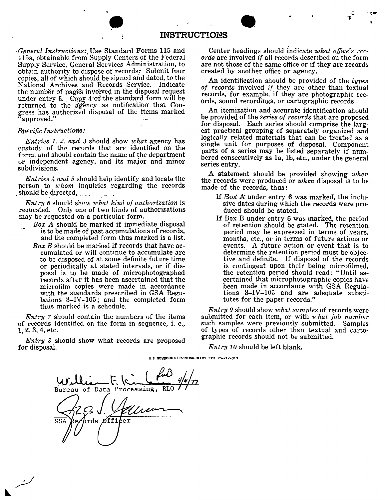| <b>INSTRUCTIONS</b> |
|---------------------|
|---------------------|

*,.General Instructions:,* Use Standard Forms 115 and 115a, obtainable from Supply Centers of the Federal Supply Service, General Services Administration, to obtain authority to dispose of records: Submit four copies, all of which should be signed and dated, to the National Archives and Records Service. Indicate the number of pages involved in the disposal request under entry 6. Copy 4 of the standard form will be returned to the agency as notification that Congress has authorized disposal of the items marked "approved."

## *Specific Instructions\_:\_*

*Entries 1, 2, and 3* should show what agency has custody of the records that are identified on the form, and should contain the name of the department or independent agency, and its major and minor subdivisions.

*Entries 4 and 5* should help identify and locate the person to *whom* inquiries regarding the records should be directed.

Entry 6 should show what kind of authorization is requested. Only one of two kinds of authorizations may be requested on a particular form.

- *Box A* should be marked if immediate disposal is to be made of past accumulations of records, and the completed form thus marked is a list.
	- *Box B* should be marked if records that have accumulated or will' continue to accumulate are to be disposed of at some definite future time or periodically at stated intervals, or if disposal is to be made of microphotographed records after it has been ascertained that the microfilm copies were made in accordance with the standards prescribed in GSA Regulations 3-IV-105; and the completed form thus marked is a schedule.

*Entry* 7 should contain the numbers of the items of records identified on the form in sequence, i. e., 1, 2, 3, 4, etc.

*Entry 8* should show what records are proposed for disposal.

Center headings should indicate what office's *records* are involved if all records described on the form are not those of the same office or if they are records created by another office or agency.

- *1* -

**An** identification should be provided of the *types of records* involved if they are other than textual records, for example, if they are photographic records, sound recordings, or cartographic records.

An itemization and accurate identification should be provided of the *Se'ries of records* that are proposed for disposal. Each series should comprise the largest practical grouping of separately organized and logically related materials that can be treated as a single unit for purposes of disposal. Component parts of a series may be listed separately if numbered consecutively as la, lb, etc., under the general series entry.

A statement should be provided showing *when*  the records were produced or *when* disposal is to be made of the records, thus:

- If  $Box$   $A$  under entry  $6$  was marked, the inclusive dates during which the records were produced should be stated.
- If Box B under entry 6 was marked, the period of retention should be stated. The retention period may be expressed in terms of years months, etc., or in terms of future actions or events. A future action or event that is to determine the retention period must be objective and definite. If disposal of the records is contingent upon their being microfilmed, the retention period should read: "Until ascertained that microphotographic copies have been made in accordance with GSA Regulations 3-IV-103 and are adequate substitutes for the paper records."

*Entry 9* should show *what samples* of records were submitted for each item, or with *what job number*  such samples were previously submitted. Samples of types of records other than textual and cartographic records should not be submitted.

*Entry 10* should be left blank.

U.S. GOVERNMENT PRINTING OFFICE: ISS3-0-712-313

Processing, Bureau of Data  $\overline{{\rm rds}}$ Øf f i